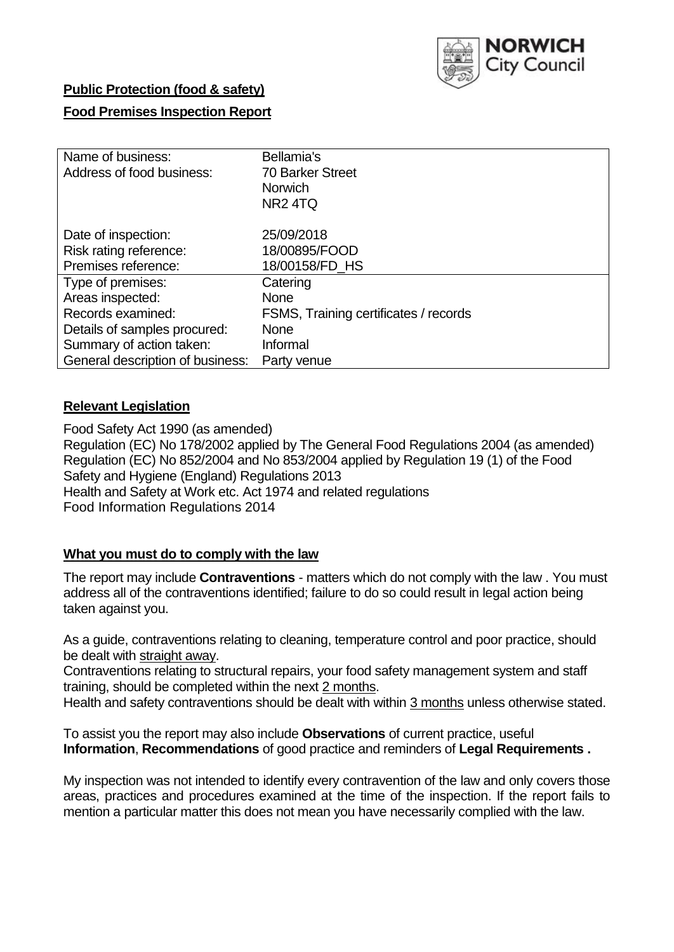

## **Public Protection (food & safety)**

# **Food Premises Inspection Report**

| Name of business:                | Bellamia's                            |
|----------------------------------|---------------------------------------|
| Address of food business:        | <b>70 Barker Street</b>               |
|                                  | <b>Norwich</b>                        |
|                                  | NR <sub>2</sub> 4TQ                   |
| Date of inspection:              | 25/09/2018                            |
| Risk rating reference:           | 18/00895/FOOD                         |
| Premises reference:              | 18/00158/FD_HS                        |
| Type of premises:                | Catering                              |
| Areas inspected:                 | <b>None</b>                           |
| Records examined:                | FSMS, Training certificates / records |
| Details of samples procured:     | <b>None</b>                           |
| Summary of action taken:         | Informal                              |
| General description of business: | Party venue                           |

## **Relevant Legislation**

Food Safety Act 1990 (as amended) Regulation (EC) No 178/2002 applied by The General Food Regulations 2004 (as amended) Regulation (EC) No 852/2004 and No 853/2004 applied by Regulation 19 (1) of the Food Safety and Hygiene (England) Regulations 2013 Health and Safety at Work etc. Act 1974 and related regulations Food Information Regulations 2014

# **What you must do to comply with the law**

The report may include **Contraventions** - matters which do not comply with the law . You must address all of the contraventions identified; failure to do so could result in legal action being taken against you.

As a guide, contraventions relating to cleaning, temperature control and poor practice, should be dealt with straight away.

Contraventions relating to structural repairs, your food safety management system and staff training, should be completed within the next 2 months.

Health and safety contraventions should be dealt with within 3 months unless otherwise stated.

To assist you the report may also include **Observations** of current practice, useful **Information**, **Recommendations** of good practice and reminders of **Legal Requirements .**

My inspection was not intended to identify every contravention of the law and only covers those areas, practices and procedures examined at the time of the inspection. If the report fails to mention a particular matter this does not mean you have necessarily complied with the law.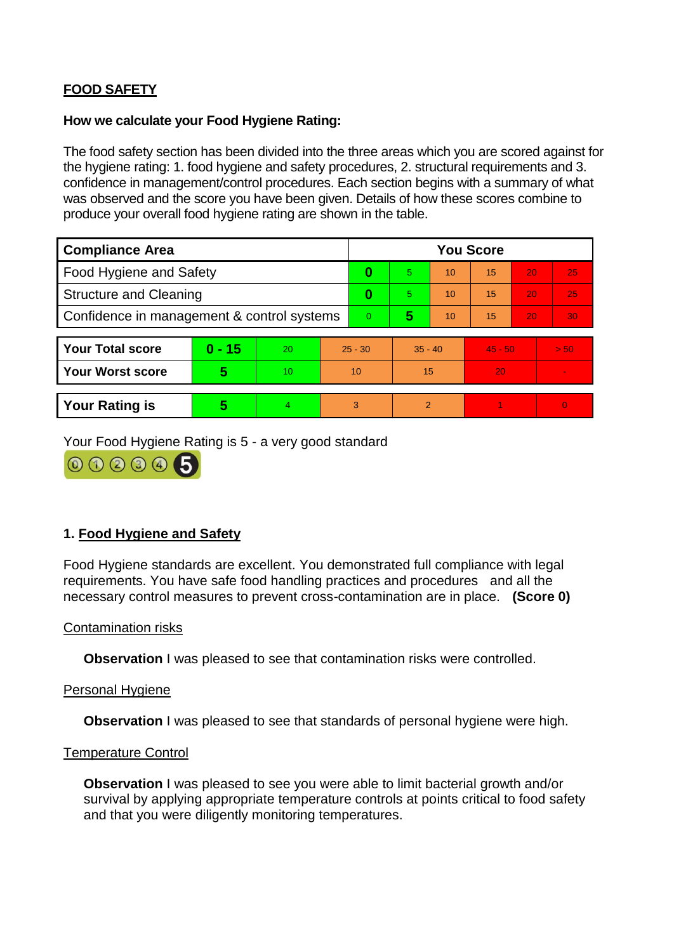# **FOOD SAFETY**

## **How we calculate your Food Hygiene Rating:**

The food safety section has been divided into the three areas which you are scored against for the hygiene rating: 1. food hygiene and safety procedures, 2. structural requirements and 3. confidence in management/control procedures. Each section begins with a summary of what was observed and the score you have been given. Details of how these scores combine to produce your overall food hygiene rating are shown in the table.

| <b>Compliance Area</b>                     |          |    |           | <b>You Score</b> |                |    |           |    |                |  |  |
|--------------------------------------------|----------|----|-----------|------------------|----------------|----|-----------|----|----------------|--|--|
| Food Hygiene and Safety                    |          |    |           | 0                | $\overline{5}$ | 10 | 15        | 20 | 25             |  |  |
| <b>Structure and Cleaning</b>              |          |    | 0         | 5.               | 10             | 15 | 20        | 25 |                |  |  |
| Confidence in management & control systems |          |    | $\Omega$  | 5                | 10             | 15 | 20        | 30 |                |  |  |
|                                            |          |    |           |                  |                |    |           |    |                |  |  |
| <b>Your Total score</b>                    | $0 - 15$ | 20 | $25 - 30$ |                  | $35 - 40$      |    | $45 - 50$ |    | > 50           |  |  |
| <b>Your Worst score</b>                    | 5        | 10 | 10        |                  | 15             |    | 20        |    | $\blacksquare$ |  |  |
|                                            |          |    |           |                  |                |    |           |    |                |  |  |
| <b>Your Rating is</b>                      | 5        | 4  | 3         |                  | $\overline{2}$ |    |           |    | $\Omega$       |  |  |

Your Food Hygiene Rating is 5 - a very good standard



# **1. Food Hygiene and Safety**

Food Hygiene standards are excellent. You demonstrated full compliance with legal requirements. You have safe food handling practices and procedures and all the necessary control measures to prevent cross-contamination are in place. **(Score 0)**

#### Contamination risks

**Observation** I was pleased to see that contamination risks were controlled.

## Personal Hygiene

**Observation** I was pleased to see that standards of personal hygiene were high.

#### Temperature Control

**Observation** I was pleased to see you were able to limit bacterial growth and/or survival by applying appropriate temperature controls at points critical to food safety and that you were diligently monitoring temperatures.